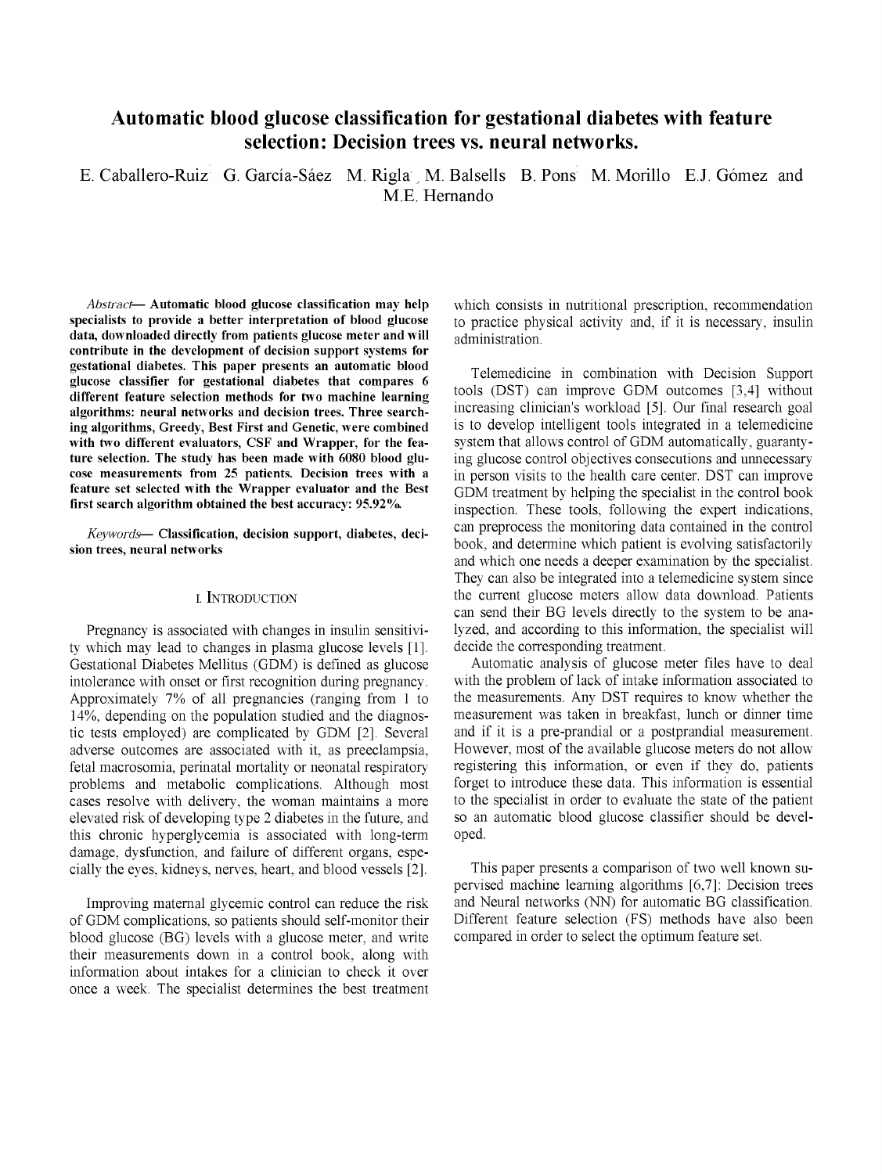# Automatic blood glucose classification for gestational diabetes with feature selection: Decision trees vs. neural networks.

E. Caballero-Ruiz G. García-Sáez M. Rigla , M. Balsells B. Pons M. Morillo E.J. Gómez and M.E. Hernando

*Abstract*— Automatic blood glucose classification may help specialists to provide a better interpretation of blood glucose data, downloaded directly from patients glucose meter and will contribute in the development of decision support systems for gestational diabetes. This paper presents an automatic blood glucose classifier for gestational diabetes that compares 6 different feature selection methods for two machine learning algorithms: neural networks and decision trees. Three searching algorithms, Greedy, Best First and Genetic, were combined with two different evaluators, CSF and Wrapper, for the feature selection. The study has been made with 6080 blood glucose measurements from 25 patients. Decision trees with a feature set selected with the Wrapper evaluator and the Best first search algorithm obtained the best accuracy: 95.92%.

*Keywords*— Classification, decision support, diabetes, decision trees, neural networks

## i. INTRODUCTION

Pregnancy is associated with changes in insulin sensitivity which may lead to changes in plasma glucose levels [1], Gestational Diabetes Mellitus (GDM) is defined as glucose intolerance with onset or first recognition during pregnancy. Approximately 7% of all pregnancies (ranging from 1 to 14%, depending on the population studied and the diagnostic tests employed) are complicated by GDM [2], Several adverse outcomes are associated with it, as preeclampsia, fetal macrosomia, perinatal mortality or neonatal respiratory problems and metabolic complications. Although most cases resolve with delivery, the woman maintains a more elevated risk of developing type 2 diabetes in the future, and this chronic hyperglycemia is associated with long-term damage, dysfunction, and failure of different organs, especially the eyes, kidneys, nerves, heart, and blood vessels [2].

Improving maternal glycemic control can reduce the risk of GDM complications, so patients should self-monitor their blood glucose (BG) levels with a glucose meter, and write their measurements down in a control book, along with information about intakes for a clinician to check it over once a week. The specialist determines the best treatment which consists in nutritional prescription, recommendation to practice physical activity and, if it is necessary, insulin administration.

Telemedicine in combination with Decision Support tools (DST) can improve GDM outcomes [3,4] without increasing clinician's workload [5], Our final research goal is to develop intelligent tools integrated in a telemedicine system that allows control of GDM automatically, guarantying glucose control objectives consecutions and unnecessary in person visits to the health care center. DST can improve GDM treatment by helping the specialist in the control book inspection. These tools, following the expert indications, can preprocess the monitoring data contained in the control book, and determine which patient is evolving satisfactorily and which one needs a deeper examination by the specialist. They can also be integrated into a telemedicine system since the current glucose meters allow data download. Patients can send their BG levels directly to the system to be analyzed, and according to this information, the specialist will decide the corresponding treatment.

Automatic analysis of glucose meter files have to deal with the problem of lack of intake information associated to the measurements. Any DST requires to know whether the measurement was taken in breakfast, lunch or dinner time and if it is a pre-prandial or a postprandial measurement. However, most of the available glucose meters do not allow registering this information, or even if they do, patients forget to introduce these data. This information is essential to the specialist in order to evaluate the state of the patient so an automatic blood glucose classifier should be developed.

This paper presents a comparison of two well known supervised machine learning algorithms [6,7]: Decision trees and Neural networks (NN) for automatic BG classification. Different feature selection (FS) methods have also been compared in order to select the optimum feature set.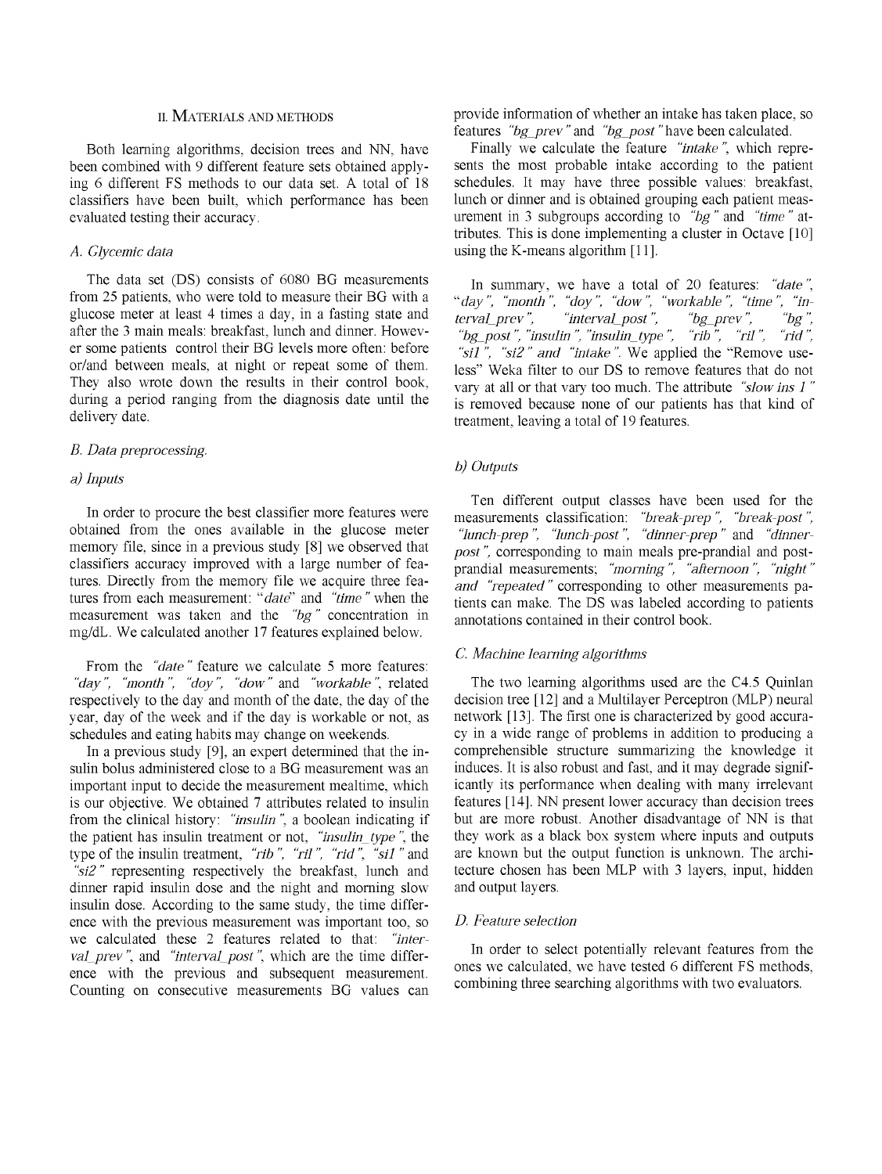## ii. MATERIALS AND METHODS

Both learning algorithms, decision trees and NN, have been combined with 9 different feature sets obtained applying 6 different FS methods to our data set. A total of 18 classifiers have been built, which performance has been evaluated testing their accuracy.

## *A. Glycemic data*

The data set (DS) consists of 6080 BG measurements from 25 patients, who were told to measure their BG with a glucose meter at least 4 times a day, in a fasting state and after the 3 main meals: breakfast, lunch and dinner. However some patients control their BG levels more often: before or/and between meals, at night or repeat some of them. They also wrote down the results in their control book, during a period ranging from the diagnosis date until the delivery date.

## *B. Data preprocessing,*

## *a) Inputs*

In order to procure the best classifier more features were obtained from the ones available in the glucose meter memory file, since in a previous study [8] we observed that classifiers accuracy improved with a large number of features. Directly from the memory file we acquire three features from each measurement: *"date"* and *"time"* when the measurement was taken and the *"bg"* concentration in mg/dL. We calculated another 17 features explained below.

From the *"date"* feature we calculate 5 more features: *"day", "month ", "doy", "dow"* and *"workable",* related respectively to the day and month of the date, the day of the year, day of the week and if the day is workable or not, as schedules and eating habits may change on weekends.

In a previous study [9], an expert determined that the insulin bolus administered close to a BG measurement was an important input to decide the measurement mealtime, which is our objective. We obtained 7 attributes related to insulin from the clinical history: *"insulin ",* a boolean indicating if the patient has insulin treatment or not, *"insulin\_type ",* the type of the insulin treatment, "rib", "ril", "rid", "sil" and *"sl2"* representing respectively the breakfast, lunch and dinner rapid insulin dose and the night and morning slow insulin dose. According to the same study, the time difference with the previous measurement was important too, so we calculated these 2 features related to that: *"interval\_prev",* and *"interval\_post",* which are the time difference with the previous and subsequent measurement. Counting on consecutive measurements BG values can provide information of whether an intake has taken place, so features *"bg\_prev"* and *"bg\_post"* have been calculated.

Finally we calculate the feature *"intake",* which represents the most probable intake according to the patient schedules. It may have three possible values: breakfast, lunch or dinner and is obtained grouping each patient measurement in 3 subgroups according to *"bg"* and *"time"* attributes. This is done implementing a cluster in Octave [10] using the K-means algorithm [11].

In summary, we have a total of 20 features: *"date", "day", "month ", "doy", "dow", "workable ", "time ", "interval\_prev",* "interval\_post", "bg\_prev", "bg", "bg<sub>post</sub>", "insulin", "insulin\_type", "rib", "ril", "rid", *"sil", "si2" and "intake".* We applied the "Remove useless" Weka filter to our DS to remove features that do not vary at all or that vary too much. The attribute *"slow ins 1"*  is removed because none of our patients has that kind of treatment, leaving a total of 19 features.

## *b) Outputs*

Ten different output classes have been used for the measurements classification: *"break-prep ", "break-post", "lunch-prep ", "lunch-post", "dinner-prep "* and *"dinnerpost"*, corresponding to main meals pre-prandial and postprandial measurements; *"morning", "afternoon ", "night" and "repeated"* corresponding to other measurements patients can make. The DS was labeled according to patients annotations contained in their control book.

#### *C. Machine learning algorithms*

The two learning algorithms used are the C4.5 Quinlan decision tree [12] and a Multilayer Perceptron (MLP) neural network [13]. The first one is characterized by good accuracy in a wide range of problems in addition to producing a comprehensible structure summarizing the knowledge it induces. It is also robust and fast, and it may degrade significantly its performance when dealing with many irrelevant features [14]. NN present lower accuracy than decision trees but are more robust. Another disadvantage of NN is that they work as a black box system where inputs and outputs are known but the output function is unknown. The architecture chosen has been MLP with 3 layers, input, hidden and output layers.

## *D. Feature selection*

In order to select potentially relevant features from the ones we calculated, we have tested 6 different FS methods, combining three searching algorithms with two evaluators.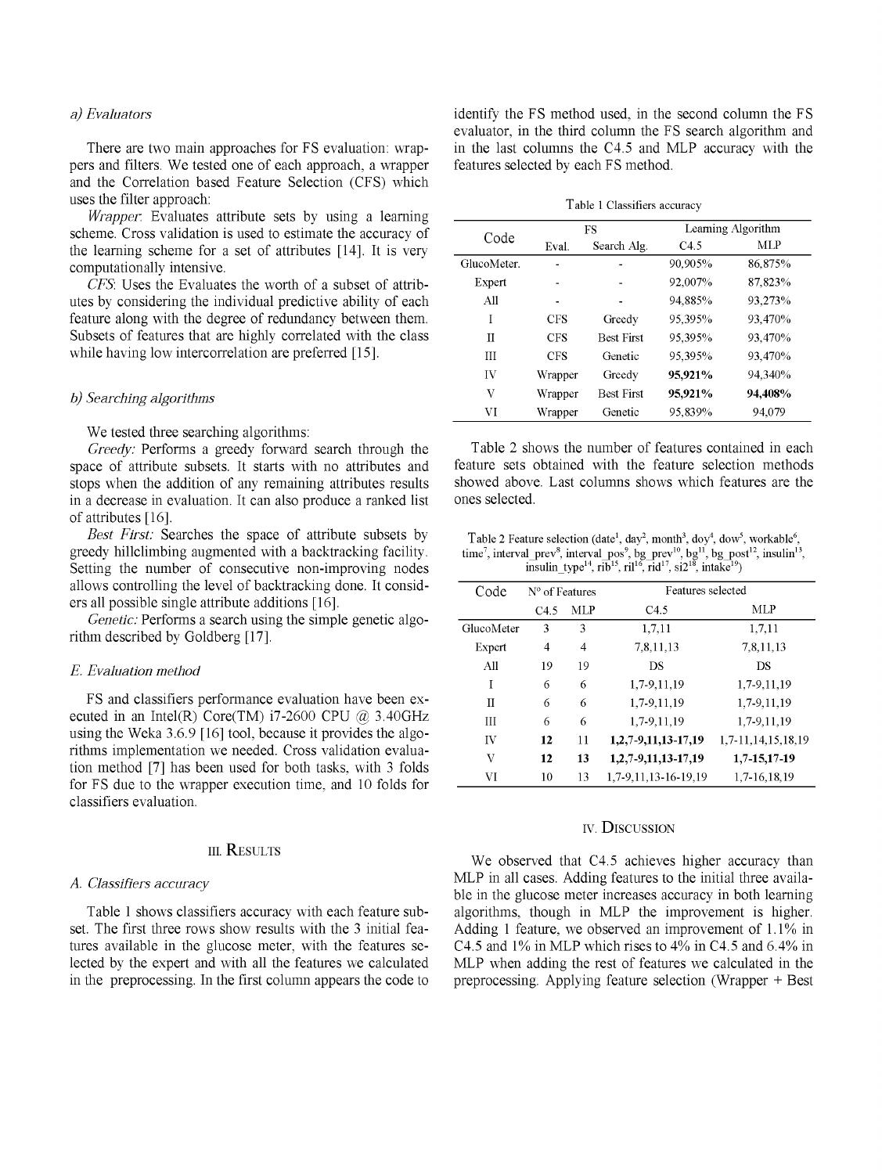# *a) Evalúa tors*

There are two main approaches for FS evaluation: wrappers and filters. We tested one of each approach, a wrapper and the Correlation based Feature Selection (CFS) which uses the filter approach:

*Wrapper.* Evaluates attribute sets by using a learning scheme. Cross validation is used to estimate the accuracy of the learning scheme for a set of attributes [14]. It is very computationally intensive.

*CFS.* Uses the Evaluates the worth of a subset of attributes by considering the individual predictive ability of each feature along with the degree of redundancy between them. Subsets of features that are highly correlated with the class while having low intercorrelation are preferred [15].

## *b) Searching algorithms*

We tested three searching algorithms:

*Greedy:* Performs a greedy forward search through the space of attribute subsets. It starts with no attributes and stops when the addition of any remaining attributes results in a decrease in evaluation. It can also produce a ranked list of attributes [16].

*Best First:* Searches the space of attribute subsets by greedy hillclimbing augmented with a backtracking facility. Setting the number of consecutive non-improving nodes allows controlling the level of backtracking done. It considers all possible single attribute additions [16].

*Genetic:* Performs a search using the simple genetic algorithm described by Goldberg [17].

# *E. Evaluation method*

FS and classifiers performance evaluation have been executed in an Intel(R) Core(TM)  $i7-2600$  CPU  $(a)$  3.40GHz using the Weka 3.6.9 [16] tool, because it provides the algorithms implementation we needed. Cross validation evaluation method [7] has been used for both tasks, with 3 folds for FS due to the wrapper execution time, and 10 folds for classifiers evaluation.

# in. RESULTS

## *A. Classifiers accuracy*

Table 1 shows classifiers accuracy with each feature subset. The first three rows show results with the 3 initial features available in the glucose meter, with the features selected by the expert and with all the features we calculated in the preprocessing. In the first column appears the code to identify the FS method used, in the second column the FS evaluator, in the third column the FS search algorithm and in the last columns the C4.5 and MLP accuracy with the features selected by each FS method.

Table 1 Classifiers accuracy

| Code        | FS         |                   | Learning Algorithm |         |
|-------------|------------|-------------------|--------------------|---------|
|             | Eval.      | Search Alg.       | C <sub>4.5</sub>   | MLP     |
| GlucoMeter. | -          | -                 | 90,905%            | 86,875% |
| Expert      |            |                   | 92,007%            | 87,823% |
| A11         |            | ۰                 | 94,885%            | 93.273% |
| I           | <b>CFS</b> | Greedy            | 95.395%            | 93,470% |
| H           | <b>CFS</b> | <b>Best First</b> | 95.395%            | 93.470% |
| Ш           | <b>CFS</b> | Genetic           | 95,395%            | 93,470% |
| IV          | Wrapper    | Greedy            | 95,921%            | 94.340% |
| V           | Wrapper    | <b>Best First</b> | 95,921%            | 94,408% |
| VI          | Wrapper    | Genetic           | 95,839%            | 94.079  |

Table 2 shows the number of features contained in each feature sets obtained with the feature selection methods showed above. Last columns shows which features are the ones selected.

Table 2 Feature selection (date<sup>1</sup>, day<sup>2</sup>, month<sup>3</sup>, doy<sup>4</sup>, dow<sup>5</sup>, workable<sup>6</sup>, time<sup>7</sup>, interval\_prev<sup>8</sup>, interval\_pos<sup>9</sup>, bg\_prev<sup>10</sup>, bg<sup>11</sup>, bg\_post<sup>12</sup>, insulin<sup>13</sup>, insulin\_type<sup>14</sup>, rib<sup>15</sup>, rid<sup>17</sup>, si2<sup>18</sup>, intake<sup>19</sup>)

| Code       | N° of Features |            | Features selected    |                    |  |
|------------|----------------|------------|----------------------|--------------------|--|
|            | C4.5           | <b>MLP</b> | C4.5                 | MLP                |  |
| GlucoMeter | 3              | 3          | 1,7,11               | 1,7,11             |  |
| Expert     | 4              | 4          | 7,8,11,13            | 7,8,11,13          |  |
| All        | 19             | 19         | DS                   | DS                 |  |
| I          | 6              | 6          | 1,7-9,11,19          | 1,7-9,11,19        |  |
| П          | 6              | 6          | 1,7-9,11,19          | 1,7-9,11,19        |  |
| Ш          | 6              | 6          | 1,7-9,11,19          | 1,7-9,11,19        |  |
| IV         | 12             | 11         | 1,2,7-9,11,13-17,19  | 1.7-11.14.15.18.19 |  |
| V          | 12             | 13         | 1,2,7-9,11,13-17,19  | 1,7-15,17-19       |  |
| VI         | 10             | 13         | 1.7-9.11.13-16-19.19 | 1,7-16,18,19       |  |

# iv. DISCUSSION

We observed that C4.5 achieves higher accuracy than MLP in all cases. Adding features to the initial three available in the glucose meter increases accuracy in both learning algorithms, though in MLP the improvement is higher. Adding 1 feature, we observed an improvement of 1.1% in C4.5 and 1% in MLP which rises to 4% in C4.5 and 6.4% in MLP when adding the rest of features we calculated in the preprocessing. Applying feature selection (Wrapper + Best